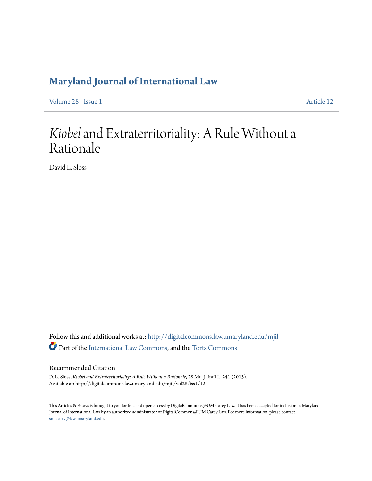## **[Maryland Journal of International Law](http://digitalcommons.law.umaryland.edu/mjil?utm_source=digitalcommons.law.umaryland.edu%2Fmjil%2Fvol28%2Fiss1%2F12&utm_medium=PDF&utm_campaign=PDFCoverPages)**

[Volume 28](http://digitalcommons.law.umaryland.edu/mjil/vol28?utm_source=digitalcommons.law.umaryland.edu%2Fmjil%2Fvol28%2Fiss1%2F12&utm_medium=PDF&utm_campaign=PDFCoverPages) | [Issue 1](http://digitalcommons.law.umaryland.edu/mjil/vol28/iss1?utm_source=digitalcommons.law.umaryland.edu%2Fmjil%2Fvol28%2Fiss1%2F12&utm_medium=PDF&utm_campaign=PDFCoverPages) [Article 12](http://digitalcommons.law.umaryland.edu/mjil/vol28/iss1/12?utm_source=digitalcommons.law.umaryland.edu%2Fmjil%2Fvol28%2Fiss1%2F12&utm_medium=PDF&utm_campaign=PDFCoverPages)

# *Kiobel*and Extraterritoriality: A Rule Without a Rationale

David L. Sloss

Follow this and additional works at: [http://digitalcommons.law.umaryland.edu/mjil](http://digitalcommons.law.umaryland.edu/mjil?utm_source=digitalcommons.law.umaryland.edu%2Fmjil%2Fvol28%2Fiss1%2F12&utm_medium=PDF&utm_campaign=PDFCoverPages) Part of the [International Law Commons,](http://network.bepress.com/hgg/discipline/609?utm_source=digitalcommons.law.umaryland.edu%2Fmjil%2Fvol28%2Fiss1%2F12&utm_medium=PDF&utm_campaign=PDFCoverPages) and the [Torts Commons](http://network.bepress.com/hgg/discipline/913?utm_source=digitalcommons.law.umaryland.edu%2Fmjil%2Fvol28%2Fiss1%2F12&utm_medium=PDF&utm_campaign=PDFCoverPages)

#### Recommended Citation

D. L. Sloss, *Kiobel and Extraterritoriality: A Rule Without a Rationale*, 28 Md. J. Int'l L. 241 (2013). Available at: http://digitalcommons.law.umaryland.edu/mjil/vol28/iss1/12

This Articles & Essays is brought to you for free and open access by DigitalCommons@UM Carey Law. It has been accepted for inclusion in Maryland Journal of International Law by an authorized administrator of DigitalCommons@UM Carey Law. For more information, please contact [smccarty@law.umaryland.edu.](mailto:smccarty@law.umaryland.edu)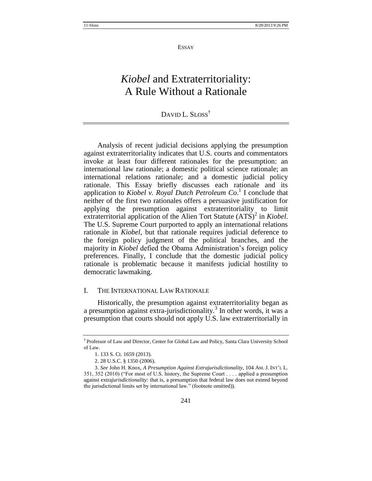#### ESSAY

## *Kiobel* and Extraterritoriality: A Rule Without a Rationale

### DAVID L. SLOSS<sup>†</sup>

Analysis of recent judicial decisions applying the presumption against extraterritoriality indicates that U.S. courts and commentators invoke at least four different rationales for the presumption: an international law rationale; a domestic political science rationale; an international relations rationale; and a domestic judicial policy rationale. This Essay briefly discusses each rationale and its application to *Kiobel v. Royal Dutch Petroleum Co*. 1 I conclude that neither of the first two rationales offers a persuasive justification for applying the presumption against extraterritoriality to limit extraterritorial application of the Alien Tort Statute (ATS)<sup>2</sup> in *Kiobel*. The U.S. Supreme Court purported to apply an international relations rationale in *Kiobel*, but that rationale requires judicial deference to the foreign policy judgment of the political branches, and the majority in *Kiobel* defied the Obama Administration's foreign policy preferences. Finally, I conclude that the domestic judicial policy rationale is problematic because it manifests judicial hostility to democratic lawmaking.

#### I. THE INTERNATIONAL LAW RATIONALE

Historically, the presumption against extraterritoriality began as a presumption against extra-jurisdictionality.<sup>3</sup> In other words, it was a presumption that courts should not apply U.S. law extraterritorially in

<sup>†</sup> Professor of Law and Director, Center for Global Law and Policy, Santa Clara University School of Law.

<sup>1.</sup> 133 S. Ct. 1659 (2013).

<sup>2.</sup> 28 U.S.C. § 1350 (2006).

<sup>3.</sup> *See* John H. Knox, *A Presumption Against Extrajurisdictionality*, 104 AM. J. INT'L L. 351, 352 (2010) ("For most of U.S. history, the Supreme Court . . . . applied a presumption against extra*jurisdictionality*: that is, a presumption that federal law does not extend beyond the jurisdictional limits set by international law." (footnote omitted)).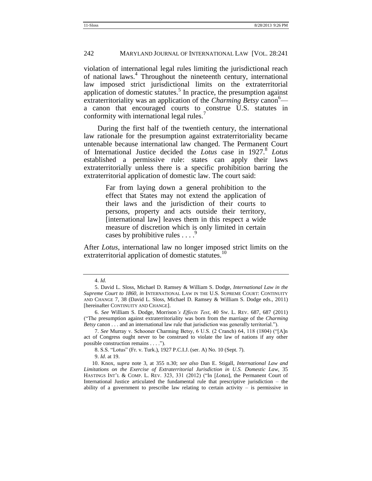#### 242 MARYLAND JOURNAL OF INTERNATIONAL LAW [VOL. 28:241

violation of international legal rules limiting the jurisdictional reach of national laws.<sup>4</sup> Throughout the nineteenth century, international law imposed strict jurisdictional limits on the extraterritorial application of domestic statutes.<sup>5</sup> In practice, the presumption against extraterritoriality was an application of the *Charming Betsy* canon<sup>6</sup> a canon that encouraged courts to construe U.S. statutes in conformity with international legal rules.<sup>7</sup>

During the first half of the twentieth century, the international law rationale for the presumption against extraterritoriality became untenable because international law changed. The Permanent Court of International Justice decided the *Lotus* case in 1927.<sup>8</sup> Lotus established a permissive rule: states can apply their laws extraterritorially unless there is a specific prohibition barring the extraterritorial application of domestic law. The court said:

> Far from laying down a general prohibition to the effect that States may not extend the application of their laws and the jurisdiction of their courts to persons, property and acts outside their territory, [international law] leaves them in this respect a wide measure of discretion which is only limited in certain cases by prohibitive rules  $\ldots$ .

After *Lotus*, international law no longer imposed strict limits on the extraterritorial application of domestic statutes.<sup>10</sup>

<sup>4.</sup> *Id.*

<sup>5.</sup> David L. Sloss, Michael D. Ramsey & William S. Dodge, *International Law in the Supreme Court to 1860, in* INTERNATIONAL LAW IN THE U.S. SUPREME COURT: CONTINUITY AND CHANGE 7, 38 (David L. Sloss, Michael D. Ramsey & William S. Dodge eds., 2011) [hereinafter CONTINUITY AND CHANGE].

<sup>6.</sup> *See* William S. Dodge, Morrison*'s Effects Test*, 40 SW. L. REV. 687, 687 (2011) (―The presumption against extraterritoriality was born from the marriage of the *Charming Betsy* canon . . . and an international law rule that jurisdiction was generally territorial.").

<sup>7.</sup> *See* Murray v. Schooner Charming Betsy, 6 U.S. (2 Cranch) 64, 118 (1804) ("[A]n act of Congress ought never to be construed to violate the law of nations if any other possible construction remains . . . .").

<sup>8.</sup> S.S. "Lotus" (Fr. v. Turk.), 1927 P.C.I.J. (ser. A) No. 10 (Sept. 7).

<sup>9.</sup> *Id*. at 19.

<sup>10.</sup> Knox, *supra* note 3, at 355 n.30; *see also* Dan E. Stigall, *International Law and Limitations on the Exercise of Extraterritorial Jurisdiction in U.S. Domestic Law*, 35 HASTINGS INT'L & COMP. L. REV. 323, 331 (2012) ("In [*Lotus*], the Permanent Court of International Justice articulated the fundamental rule that prescriptive jurisdiction – the ability of a government to prescribe law relating to certain activity  $-$  is permissive in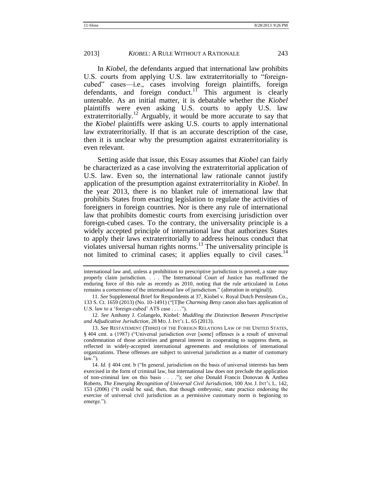In *Kiobel*, the defendants argued that international law prohibits U.S. courts from applying U.S. law extraterritorially to "foreigncubed" cases—i.e., cases involving foreign plaintiffs, foreign defendants, and foreign conduct.<sup>11</sup> This argument is clearly untenable. As an initial matter, it is debatable whether the *Kiobel* plaintiffs were even asking U.S. courts to apply U.S. law extraterritorially.<sup>12</sup> Arguably, it would be more accurate to say that the *Kiobel* plaintiffs were asking U.S. courts to apply international law extraterritorially. If that is an accurate description of the case, then it is unclear why the presumption against extraterritoriality is even relevant.

Setting aside that issue, this Essay assumes that *Kiobel* can fairly be characterized as a case involving the extraterritorial application of U.S. law. Even so, the international law rationale cannot justify application of the presumption against extraterritoriality in *Kiobel*. In the year 2013, there is no blanket rule of international law that prohibits States from enacting legislation to regulate the activities of foreigners in foreign countries. Nor is there any rule of international law that prohibits domestic courts from exercising jurisdiction over foreign-cubed cases. To the contrary, the universality principle is a widely accepted principle of international law that authorizes States to apply their laws extraterritorially to address heinous conduct that violates universal human rights norms.<sup>13</sup> The universality principle is not limited to criminal cases; it applies equally to civil cases.<sup>14</sup>

12. *See* Anthony J. Colangelo, Kiobel*: Muddling the Distinction Between Prescriptive and Adjudicative Jurisdiction*, 28 MD. J. INT'L L. 65 (2013).

international law and, unless a prohibition to prescriptive jurisdiction is proved, a state may properly claim jurisdiction. . . . The International Court of Justice has reaffirmed the enduring force of this rule as recently as 2010, noting that the rule articulated in *Lotus*  remains a cornerstone of the international law of jurisdiction." (alteration in original)).

<sup>11.</sup> *See* Supplemental Brief for Respondents at 37, Kiobel v. Royal Dutch Petroleum Co., 133 S. Ct. 1659 (2013) (No. 10-1491) ("[T]he *Charming Betsy* canon also bars application of U.S. law to a 'foreign-cubed' ATS case  $\dots$ .").

<sup>13.</sup> *See* RESTATEMENT (THIRD) OF THE FOREIGN RELATIONS LAW OF THE UNITED STATES, § 404 cmt. a (1987) ("Universal jurisdiction over [some] offenses is a result of universal condemnation of those activities and general interest in cooperating to suppress them, as reflected in widely-accepted international agreements and resolutions of international organizations. These offenses are subject to universal jurisdiction as a matter of customary  $law.'$ ).

<sup>14.</sup> *Id.* § 404 cmt. b ("In general, jurisdiction on the basis of universal interests has been exercised in the form of criminal law, but international law does not preclude the application of non-criminal law on this basis . . . .‖); *see also* Donald Francis Donovan & Anthea Roberts, *The Emerging Recognition of Universal Civil Jurisdiction*, 100 AM. J. INT'L L. 142, 153 (2006) ("It could be said, then, that though embryonic, state practice endorsing the exercise of universal civil jurisdiction as a permissive customary norm is beginning to emerge.").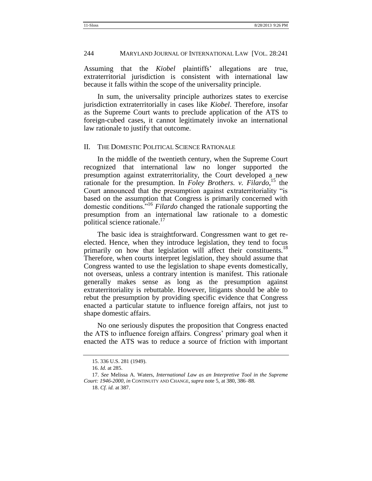Assuming that the *Kiobel* plaintiffs' allegations are true, extraterritorial jurisdiction is consistent with international law because it falls within the scope of the universality principle.

In sum, the universality principle authorizes states to exercise jurisdiction extraterritorially in cases like *Kiobel*. Therefore, insofar as the Supreme Court wants to preclude application of the ATS to foreign-cubed cases, it cannot legitimately invoke an international law rationale to justify that outcome.

#### II. THE DOMESTIC POLITICAL SCIENCE RATIONALE

In the middle of the twentieth century, when the Supreme Court recognized that international law no longer supported the presumption against extraterritoriality, the Court developed a new rationale for the presumption. In *Foley Brothers. v. Filardo*,<sup>15</sup> the Court announced that the presumption against extraterritoriality "is based on the assumption that Congress is primarily concerned with domestic conditions.<sup>716</sup> *Filardo* changed the rationale supporting the presumption from an international law rationale to a domestic political science rationale. $17$ 

The basic idea is straightforward. Congressmen want to get reelected. Hence, when they introduce legislation, they tend to focus primarily on how that legislation will affect their constituents.<sup>18</sup> Therefore, when courts interpret legislation, they should assume that Congress wanted to use the legislation to shape events domestically, not overseas, unless a contrary intention is manifest. This rationale generally makes sense as long as the presumption against extraterritoriality is rebuttable. However, litigants should be able to rebut the presumption by providing specific evidence that Congress enacted a particular statute to influence foreign affairs, not just to shape domestic affairs.

No one seriously disputes the proposition that Congress enacted the ATS to influence foreign affairs. Congress' primary goal when it enacted the ATS was to reduce a source of friction with important

<sup>15.</sup> 336 U.S. 281 (1949).

<sup>16.</sup> *Id.* at 285.

<sup>17.</sup> *See* Melissa A. Waters, *International Law as an Interpretive Tool in the Supreme Court: 1946-2000*, *in* CONTINUITY AND CHANGE, *supra* note 5, at 380, 386–88.

<sup>18.</sup> *Cf. id.* at 387.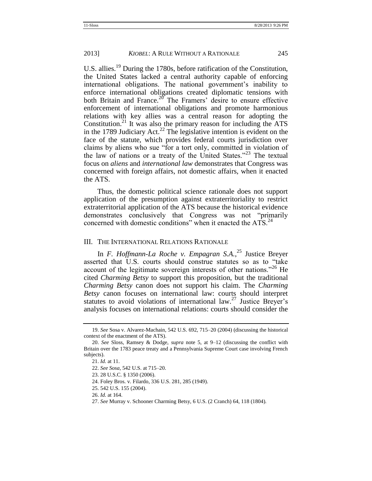U.S. allies.<sup>19</sup> During the 1780s, before ratification of the Constitution, the United States lacked a central authority capable of enforcing international obligations. The national government's inability to enforce international obligations created diplomatic tensions with both Britain and France.<sup>20</sup> The Framers' desire to ensure effective enforcement of international obligations and promote harmonious relations with key allies was a central reason for adopting the Constitution.<sup>21</sup> It was also the primary reason for including the  $ATS$ in the 1789 Judiciary Act.<sup>22</sup> The legislative intention is evident on the face of the statute, which provides federal courts jurisdiction over claims by aliens who sue "for a tort only, committed in violation of the law of nations or a treaty of the United States."<sup>23</sup> The textual focus on *aliens* and *international law* demonstrates that Congress was concerned with foreign affairs, not domestic affairs, when it enacted the ATS.

Thus, the domestic political science rationale does not support application of the presumption against extraterritoriality to restrict extraterritorial application of the ATS because the historical evidence demonstrates conclusively that Congress was not "primarily concerned with domestic conditions" when it enacted the  $ATS$ <sup>24</sup>

#### III. THE INTERNATIONAL RELATIONS RATIONALE

In *F. Hoffmann-La Roche v. Empagran S.A.*, <sup>25</sup> Justice Breyer asserted that U.S. courts should construe statutes so as to "take" account of the legitimate sovereign interests of other nations.<sup> $26$ </sup> He cited *Charming Betsy* to support this proposition, but the traditional *Charming Betsy* canon does not support his claim. The *Charming Betsy* canon focuses on international law: courts should interpret statutes to avoid violations of international law.<sup>27</sup> Justice Breyer's analysis focuses on international relations: courts should consider the

<sup>19.</sup> *See* Sosa v. Alvarez-Machain, 542 U.S. 692, 715–20 (2004) (discussing the historical context of the enactment of the ATS).

<sup>20.</sup> *See* Sloss, Ramsey & Dodge, *supra* note 5, at 9–12 (discussing the conflict with Britain over the 1783 peace treaty and a Pennsylvania Supreme Court case involving French subjects).

<sup>21.</sup> *Id.* at 11.

<sup>22.</sup> *See Sosa*, 542 U.S. at 715–20.

<sup>23.</sup> 28 U.S.C. § 1350 (2006).

<sup>24.</sup> Foley Bros. v. Filardo, 336 U.S. 281, 285 (1949).

<sup>25.</sup> 542 U.S. 155 (2004).

<sup>26.</sup> *Id.* at 164.

<sup>27.</sup> *See* Murray v. Schooner Charming Betsy, 6 U.S. (2 Cranch) 64, 118 (1804).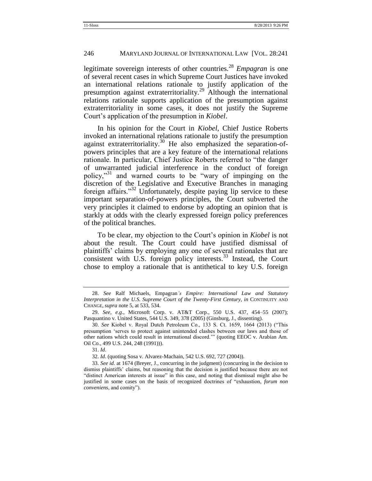#### 246 MARYLAND JOURNAL OF INTERNATIONAL LAW [VOL. 28:241

legitimate sovereign interests of other countries.<sup>28</sup> *Empagran* is one of several recent cases in which Supreme Court Justices have invoked an international relations rationale to justify application of the presumption against extraterritoriality.<sup>29</sup> Although the international relations rationale supports application of the presumption against extraterritoriality in some cases, it does not justify the Supreme Court's application of the presumption in *Kiobel*.

In his opinion for the Court in *Kiobel*, Chief Justice Roberts invoked an international relations rationale to justify the presumption against extraterritoriality.<sup>30</sup> He also emphasized the separation-ofpowers principles that are a key feature of the international relations rationale. In particular, Chief Justice Roberts referred to "the danger" of unwarranted judicial interference in the conduct of foreign policy,"<sup>31</sup> and warned courts to be "wary of impinging on the discretion of the Legislative and Executive Branches in managing foreign affairs.<sup>32</sup> Unfortunately, despite paying lip service to these important separation-of-powers principles, the Court subverted the very principles it claimed to endorse by adopting an opinion that is starkly at odds with the clearly expressed foreign policy preferences of the political branches.

To be clear, my objection to the Court's opinion in *Kiobel* is not about the result. The Court could have justified dismissal of plaintiffs' claims by employing any one of several rationales that are consistent with U.S. foreign policy interests. $^{33}$  Instead, the Court chose to employ a rationale that is antithetical to key U.S. foreign

<sup>28.</sup> *See* Ralf Michaels, Empagran*'s Empire: International Law and Statutory Interpretation in the U.S. Supreme Court of the Twenty-First Century*, *in* CONTINUITY AND CHANGE, *supra* note 5, at 533, 534.

<sup>29.</sup> *See, e.g*., Microsoft Corp. v. AT&T Corp., 550 U.S. 437, 454–55 (2007); Pasquantino v. United States, 544 U.S. 349, 378 (2005) (Ginsburg, J., dissenting).

<sup>30.</sup> *See* Kiobel v. Royal Dutch Petroleum Co., 133 S. Ct. 1659, 1664 (2013) ("This presumption ‗serves to protect against unintended clashes between our laws and those of other nations which could result in international discord."" (quoting EEOC v. Arabian Am. Oil Co., 499 U.S. 244, 248 (1991))).

<sup>31.</sup> *Id*.

<sup>32.</sup> *Id*. (quoting Sosa v. Alvarez-Machain, 542 U.S. 692, 727 (2004)).

<sup>33.</sup> *See id.* at 1674 (Breyer, J., concurring in the judgment) (concurring in the decision to dismiss plaintiffs' claims, but reasoning that the decision is justified because there are not ―distinct American interests at issue‖ in this case, and noting that dismissal might also be justified in some cases on the basis of recognized doctrines of "exhaustion, *forum non conveniens*, and comity").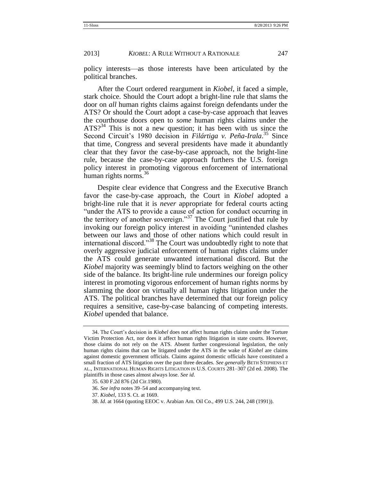policy interests—as those interests have been articulated by the political branches.

After the Court ordered reargument in *Kiobel*, it faced a simple, stark choice. Should the Court adopt a bright-line rule that slams the door on *all* human rights claims against foreign defendants under the ATS? Or should the Court adopt a case-by-case approach that leaves the courthouse doors open to *some* human rights claims under the  $ATS<sup>34</sup>$  This is not a new question; it has been with us since the Second Circuit's 1980 decision in *Filártiga v. Peña-Irala*.<sup>35</sup> Since that time, Congress and several presidents have made it abundantly clear that they favor the case-by-case approach, not the bright-line rule, because the case-by-case approach furthers the U.S. foreign policy interest in promoting vigorous enforcement of international human rights norms. $36$ 

Despite clear evidence that Congress and the Executive Branch favor the case-by-case approach, the Court in *Kiobel* adopted a bright-line rule that it is *never* appropriate for federal courts acting "under the ATS to provide a cause of action for conduct occurring in the territory of another sovereign."<sup>37</sup> The Court justified that rule by invoking our foreign policy interest in avoiding "unintended clashes" between our laws and those of other nations which could result in international discord."<sup>38</sup> The Court was undoubtedly right to note that overly aggressive judicial enforcement of human rights claims under the ATS could generate unwanted international discord. But the *Kiobel* majority was seemingly blind to factors weighing on the other side of the balance. Its bright-line rule undermines our foreign policy interest in promoting vigorous enforcement of human rights norms by slamming the door on virtually all human rights litigation under the ATS. The political branches have determined that our foreign policy requires a sensitive, case-by-case balancing of competing interests. *Kiobel* upended that balance.

<sup>34.</sup> The Court's decision in *Kiobel* does not affect human rights claims under the Torture Victim Protection Act, nor does it affect human rights litigation in state courts. However, those claims do not rely on the ATS. Absent further congressional legislation, the only human rights claims that can be litigated under the ATS in the wake of *Kiobel* are claims against domestic government officials. Claims against domestic officials have constituted a small fraction of ATS litigation over the past three decades. *See generally* BETH STEPHENS ET AL., INTERNATIONAL HUMAN RIGHTS LITIGATION IN U.S. COURTS 281–307 (2d ed. 2008). The plaintiffs in those cases almost always lose. *See id*.

<sup>35.</sup> 630 F.2d 876 (2d Cir.1980).

<sup>36.</sup> *See infra* notes 39–54 and accompanying text.

<sup>37.</sup> *Kiobel*, 133 S. Ct. at 1669.

<sup>38.</sup> *Id*. at 1664 (quoting EEOC v. Arabian Am. Oil Co., 499 U.S. 244, 248 (1991)).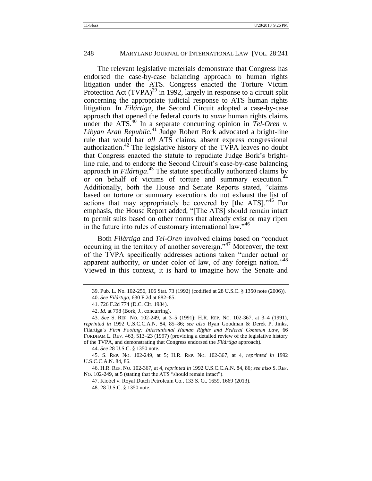The relevant legislative materials demonstrate that Congress has endorsed the case-by-case balancing approach to human rights litigation under the ATS. Congress enacted the Torture Victim Protection Act  $(TVPA)^{39}$  in 1992, largely in response to a circuit split concerning the appropriate judicial response to ATS human rights litigation. In *Filártiga*, the Second Circuit adopted a case-by-case approach that opened the federal courts to *some* human rights claims under the ATS.<sup>40</sup> In a separate concurring opinion in  $Tel\text{-}Oren$  v. *Libyan Arab Republic*, <sup>41</sup> Judge Robert Bork advocated a bright-line rule that would bar *all* ATS claims, absent express congressional authorization.<sup>42</sup> The legislative history of the TVPA leaves no doubt that Congress enacted the statute to repudiate Judge Bork's brightline rule, and to endorse the Second Circuit's case-by-case balancing approach in *Filártiga*. <sup>43</sup> The statute specifically authorized claims by or on behalf of victims of torture and summary execution.<sup>44</sup> Additionally, both the House and Senate Reports stated, "claims" based on torture or summary executions do not exhaust the list of actions that may appropriately be covered by  $[the ATS]$ <sup> $,45$ </sup> For emphasis, the House Report added, "[The ATS] should remain intact to permit suits based on other norms that already exist or may ripen in the future into rules of customary international law.<sup> $346$ </sup>

Both *Filártiga* and *Tel-Oren* involved claims based on "conduct" occurring in the territory of another sovereign.<sup> $347$ </sup> Moreover, the text of the TVPA specifically addresses actions taken "under actual or apparent authority, or under color of law, of any foreign nation.<sup> $48$ </sup> Viewed in this context, it is hard to imagine how the Senate and

44. *See* 28 U.S.C. § 1350 note.

<sup>39.</sup> Pub. L. No. 102-256, 106 Stat. 73 (1992) (codified at 28 U.S.C. § 1350 note (2006)).

<sup>40.</sup> *See Filártiga*, 630 F.2d at 882–85.

<sup>41.</sup> 726 F.2d 774 (D.C. Cir. 1984).

<sup>42.</sup> *Id.* at 798 (Bork, J., concurring).

<sup>43.</sup> *See* S. REP. NO. 102-249, at 3–5 (1991); H.R. REP. NO. 102-367, at 3–4 (1991), *reprinted in* 1992 U.S.C.C.A.N. 84, 85–86; *see also* Ryan Goodman & Derek P. Jinks, Filártiga*'s Firm Footing: International Human Rights and Federal Common Law*, 66 FORDHAM L. REV. 463, 513–23 (1997) (providing a detailed review of the legislative history of the TVPA, and demonstrating that Congress endorsed the *Filártiga* approach).

<sup>45.</sup> S. REP. NO. 102-249, at 5; H.R. REP. NO. 102-367, at 4, *reprinted in* 1992 U.S.C.C.A.N. 84, 86.

<sup>46.</sup> H.R. REP. NO. 102-367, at 4, *reprinted in* 1992 U.S.C.C.A.N. 84, 86; *see also* S. REP. No. 102-249, at 5 (stating that the ATS "should remain intact").

<sup>47.</sup> Kiobel v. Royal Dutch Petroleum Co., 133 S. Ct. 1659, 1669 (2013).

<sup>48.</sup> 28 U.S.C. § 1350 note.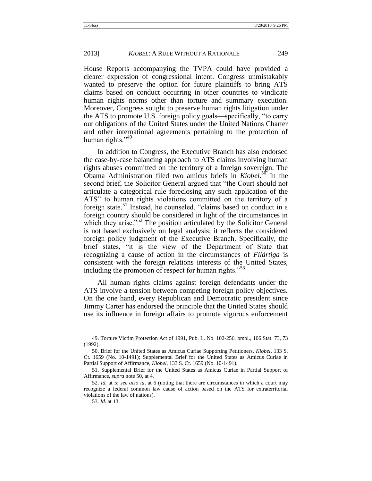House Reports accompanying the TVPA could have provided a clearer expression of congressional intent. Congress unmistakably wanted to preserve the option for future plaintiffs to bring ATS claims based on conduct occurring in other countries to vindicate human rights norms other than torture and summary execution. Moreover, Congress sought to preserve human rights litigation under the ATS to promote U.S. foreign policy goals—specifically, "to carry out obligations of the United States under the United Nations Charter and other international agreements pertaining to the protection of human rights." $49$ 

In addition to Congress, the Executive Branch has also endorsed the case-by-case balancing approach to ATS claims involving human rights abuses committed on the territory of a foreign sovereign. The Obama Administration filed two amicus briefs in *Kiobel*. <sup>50</sup> In the second brief, the Solicitor General argued that "the Court should not articulate a categorical rule foreclosing any such application of the ATS" to human rights violations committed on the territory of a foreign state.<sup>51</sup> Instead, he counseled, "claims based on conduct in a foreign country should be considered in light of the circumstances in which they arise.<sup> $52$ </sup> The position articulated by the Solicitor General is not based exclusively on legal analysis; it reflects the considered foreign policy judgment of the Executive Branch. Specifically, the brief states, "it is the view of the Department of State that recognizing a cause of action in the circumstances of *Filártiga* is consistent with the foreign relations interests of the United States, including the promotion of respect for human rights.<sup>53</sup>

All human rights claims against foreign defendants under the ATS involve a tension between competing foreign policy objectives. On the one hand, every Republican and Democratic president since Jimmy Carter has endorsed the principle that the United States should use its influence in foreign affairs to promote vigorous enforcement

<sup>49.</sup> Torture Victim Protection Act of 1991, Pub. L. No. 102-256, pmbl., 106 Stat. 73, 73 (1992).

<sup>50.</sup> Brief for the United States as Amicus Curiae Supporting Petitioners, *Kiobel*, 133 S. Ct. 1659 (No. 10-1491); Supplemental Brief for the United States as Amicus Curiae in Partial Support of Affirmance, *Kiobel*, 133 S. Ct. 1659 (No. 10-1491).

<sup>51.</sup> Supplemental Brief for the United States as Amicus Curiae in Partial Support of Affirmance, *supra* note 50, at 4.

<sup>52.</sup> *Id.* at 5; *see also id*. at 6 (noting that there are circumstances in which a court may recognize a federal common law cause of action based on the ATS for extraterritorial violations of the law of nations).

<sup>53.</sup> *Id.* at 13.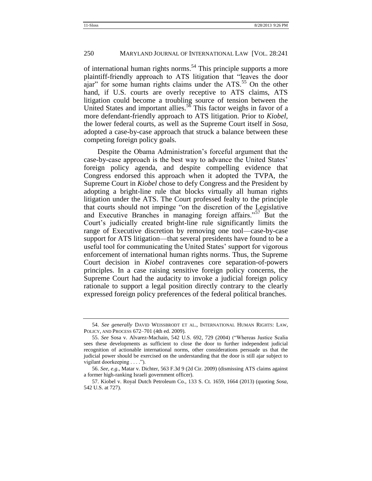of international human rights norms.<sup>54</sup> This principle supports a more plaintiff-friendly approach to ATS litigation that "leaves the door ajar" for some human rights claims under the  $ATS$ <sup>55</sup>. On the other hand, if U.S. courts are overly receptive to ATS claims, ATS litigation could become a troubling source of tension between the United States and important allies.<sup>56</sup> This factor weighs in favor of a more defendant-friendly approach to ATS litigation. Prior to *Kiobel*, the lower federal courts, as well as the Supreme Court itself in *Sosa*, adopted a case-by-case approach that struck a balance between these competing foreign policy goals.

Despite the Obama Administration's forceful argument that the case-by-case approach is the best way to advance the United States' foreign policy agenda, and despite compelling evidence that Congress endorsed this approach when it adopted the TVPA, the Supreme Court in *Kiobel* chose to defy Congress and the President by adopting a bright-line rule that blocks virtually all human rights litigation under the ATS. The Court professed fealty to the principle that courts should not impinge "on the discretion of the Legislative and Executive Branches in managing foreign affairs.<sup>57</sup> But the Court's judicially created bright-line rule significantly limits the range of Executive discretion by removing one tool—case-by-case support for ATS litigation—that several presidents have found to be a useful tool for communicating the United States' support for vigorous enforcement of international human rights norms. Thus, the Supreme Court decision in *Kiobel* contravenes core separation-of-powers principles. In a case raising sensitive foreign policy concerns, the Supreme Court had the audacity to invoke a judicial foreign policy rationale to support a legal position directly contrary to the clearly expressed foreign policy preferences of the federal political branches.

<sup>54.</sup> *See generally* DAVID WEISSBRODT ET AL., INTERNATIONAL HUMAN RIGHTS: LAW, POLICY, AND PROCESS 672–701 (4th ed. 2009).

<sup>55.</sup> See Sosa v. Alvarez-Machain, 542 U.S. 692, 729 (2004) ("Whereas Justice Scalia sees these developments as sufficient to close the door to further independent judicial recognition of actionable international norms, other considerations persuade us that the judicial power should be exercised on the understanding that the door is still ajar subject to vigilant doorkeeping . . . .").

<sup>56.</sup> *See, e.g*., Matar v. Dichter, 563 F.3d 9 (2d Cir. 2009) (dismissing ATS claims against a former high-ranking Israeli government officer).

<sup>57.</sup> Kiobel v. Royal Dutch Petroleum Co., 133 S. Ct. 1659, 1664 (2013) (quoting *Sosa*, 542 U.S. at 727).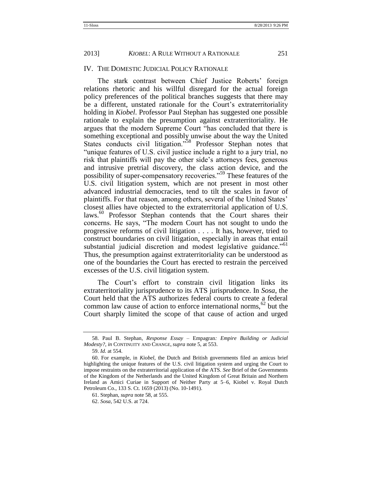#### IV. THE DOMESTIC JUDICIAL POLICY RATIONALE

The stark contrast between Chief Justice Roberts' foreign relations rhetoric and his willful disregard for the actual foreign policy preferences of the political branches suggests that there may be a different, unstated rationale for the Court's extraterritoriality holding in *Kiobel*. Professor Paul Stephan has suggested one possible rationale to explain the presumption against extraterritoriality. He argues that the modern Supreme Court "has concluded that there is something exceptional and possibly unwise about the way the United States conducts civil litigation."<sup>58</sup> Professor Stephan notes that "unique features of U.S. civil justice include a right to a jury trial, no risk that plaintiffs will pay the other side's attorneys fees, generous and intrusive pretrial discovery, the class action device, and the possibility of super-compensatory recoveries."<sup>59</sup> These features of the U.S. civil litigation system, which are not present in most other advanced industrial democracies, tend to tilt the scales in favor of plaintiffs. For that reason, among others, several of the United States' closest allies have objected to the extraterritorial application of U.S. laws.<sup>60</sup> Professor Stephan contends that the Court shares their concerns. He says, "The modern Court has not sought to undo the progressive reforms of civil litigation . . . . It has, however, tried to construct boundaries on civil litigation, especially in areas that entail substantial judicial discretion and modest legislative guidance.<sup>"61</sup> Thus, the presumption against extraterritoriality can be understood as one of the boundaries the Court has erected to restrain the perceived excesses of the U.S. civil litigation system.

The Court's effort to constrain civil litigation links its extraterritoriality jurisprudence to its ATS jurisprudence. In *Sosa*, the Court held that the ATS authorizes federal courts to create a federal common law cause of action to enforce international norms,  $62$  but the Court sharply limited the scope of that cause of action and urged

<sup>58.</sup> Paul B. Stephan, *Response Essay –* Empagran*: Empire Building or Judicial Modesty?*, *in* CONTINUITY AND CHANGE, *supra* note 5, at 553.

<sup>59.</sup> *Id.* at 554.

<sup>60.</sup> For example, in *Kiobel*, the Dutch and British governments filed an amicus brief highlighting the unique features of the U.S. civil litigation system and urging the Court to impose restraints on the extraterritorial application of the ATS. *See* Brief of the Governments of the Kingdom of the Netherlands and the United Kingdom of Great Britain and Northern Ireland as Amici Curiae in Support of Neither Party at 5–6, Kiobel v. Royal Dutch Petroleum Co., 133 S. Ct. 1659 (2013) (No. 10-1491).

<sup>61.</sup> Stephan, *supra* note 58, at 555.

<sup>62.</sup> *Sosa*, 542 U.S. at 724.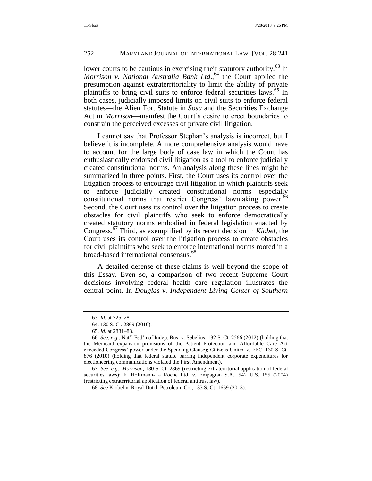lower courts to be cautious in exercising their statutory authority.<sup>63</sup> In *Morrison v. National Australia Bank Ltd*., <sup>64</sup> the Court applied the presumption against extraterritoriality to limit the ability of private plaintiffs to bring civil suits to enforce federal securities laws.<sup>65</sup> In both cases, judicially imposed limits on civil suits to enforce federal statutes—the Alien Tort Statute in *Sosa* and the Securities Exchange Act in *Morrison*—manifest the Court's desire to erect boundaries to constrain the perceived excesses of private civil litigation.

I cannot say that Professor Stephan's analysis is incorrect, but I believe it is incomplete. A more comprehensive analysis would have to account for the large body of case law in which the Court has enthusiastically endorsed civil litigation as a tool to enforce judicially created constitutional norms. An analysis along these lines might be summarized in three points. First, the Court uses its control over the litigation process to encourage civil litigation in which plaintiffs seek to enforce judicially created constitutional norms—especially constitutional norms that restrict Congress' lawmaking power.<sup>66</sup> Second, the Court uses its control over the litigation process to create obstacles for civil plaintiffs who seek to enforce democratically created statutory norms embodied in federal legislation enacted by Congress.<sup>67</sup> Third, as exemplified by its recent decision in *Kiobel*, the Court uses its control over the litigation process to create obstacles for civil plaintiffs who seek to enforce international norms rooted in a broad-based international consensus.<sup>68</sup>

A detailed defense of these claims is well beyond the scope of this Essay. Even so, a comparison of two recent Supreme Court decisions involving federal health care regulation illustrates the central point. In *Douglas v. Independent Living Center of Southern* 

<sup>63.</sup> *Id.* at 725–28.

<sup>64.</sup> 130 S. Ct. 2869 (2010).

<sup>65.</sup> *Id.* at 2881–83.

<sup>66.</sup> *See, e.g*., Nat'l Fed'n of Indep. Bus. v. Sebelius, 132 S. Ct. 2566 (2012) (holding that the Medicaid expansion provisions of the Patient Protection and Affordable Care Act exceeded Congress' power under the Spending Clause); Citizens United v. FEC, 130 S. Ct. 876 (2010) (holding that federal statute barring independent corporate expenditures for electioneering communications violated the First Amendment).

<sup>67.</sup> *See, e.g*., *Morrison*, 130 S. Ct. 2869 (restricting extraterritorial application of federal securities laws); F. Hoffmann-La Roche Ltd. v. Empagran S.A., 542 U.S. 155 (2004) (restricting extraterritorial application of federal antitrust law).

<sup>68.</sup> *See* Kiobel v. Royal Dutch Petroleum Co., 133 S. Ct. 1659 (2013).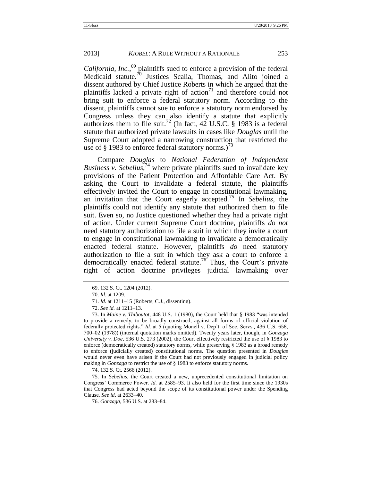*California, Inc.*, <sup>69</sup> plaintiffs sued to enforce a provision of the federal Medicaid statute.<sup>70</sup> Justices Scalia, Thomas, and Alito joined a dissent authored by Chief Justice Roberts in which he argued that the plaintiffs lacked a private right of action<sup>71</sup> and therefore could not bring suit to enforce a federal statutory norm. According to the dissent, plaintiffs cannot sue to enforce a statutory norm endorsed by Congress unless they can also identify a statute that explicitly authorizes them to file suit.<sup>72</sup> (In fact, 42 U.S.C. § 1983 is a federal statute that authorized private lawsuits in cases like *Douglas* until the Supreme Court adopted a narrowing construction that restricted the use of § 1983 to enforce federal statutory norms.)<sup>73</sup>

Compare *Douglas* to *National Federation of Independent Business v. Sebelius*, <sup>74</sup> where private plaintiffs sued to invalidate key provisions of the Patient Protection and Affordable Care Act. By asking the Court to invalidate a federal statute, the plaintiffs effectively invited the Court to engage in constitutional lawmaking, an invitation that the Court eagerly accepted.<sup>75</sup> In *Sebelius*, the plaintiffs could not identify any statute that authorized them to file suit. Even so, no Justice questioned whether they had a private right of action. Under current Supreme Court doctrine, plaintiffs *do not* need statutory authorization to file a suit in which they invite a court to engage in constitutional lawmaking to invalidate a democratically enacted federal statute. However, plaintiffs *do* need statutory authorization to file a suit in which they ask a court to enforce a democratically enacted federal statute.<sup>76</sup> Thus, the Court's private right of action doctrine privileges judicial lawmaking over

74. 132 S. Ct. 2566 (2012).

75. In *Sebelius*, the Court created a new, unprecedented constitutional limitation on Congress' Commerce Power. *Id.* at 2585–93. It also held for the first time since the 1930s that Congress had acted beyond the scope of its constitutional power under the Spending Clause. *See id*. at 2633–40.

76. *Gonzaga*, 536 U.S. at 283–84.

<sup>69.</sup> 132 S. Ct. 1204 (2012).

<sup>70.</sup> *Id.* at 1209.

<sup>71.</sup> *Id.* at 1211–15 (Roberts, C.J., dissenting).

<sup>72.</sup> *See id.* at 1211–13.

<sup>73.</sup> In *Maine v. Thiboutot*, 448 U.S. 1 (1980), the Court held that § 1983 "was intended to provide a remedy, to be broadly construed, against all forms of official violation of federally protected rights." *Id.* at 5 (quoting Monell v. Dep't. of Soc. Servs., 436 U.S. 658, 700–02 (1978)) (internal quotation marks omitted). Twenty years later, though, in *Gonzaga University v. Doe*, 536 U.S. 273 (2002), the Court effectively restricted the use of § 1983 to enforce (democratically created) statutory norms, while preserving § 1983 as a broad remedy to enforce (judicially created) constitutional norms. The question presented in *Douglas* would never even have arisen if the Court had not previously engaged in judicial policy making in *Gonzaga* to restrict the use of § 1983 to enforce statutory norms.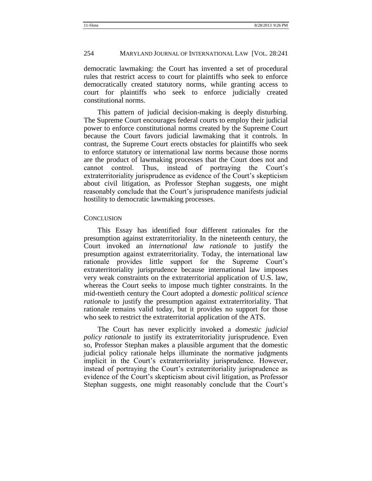#### 254 MARYLAND JOURNAL OF INTERNATIONAL LAW [VOL. 28:241

democratic lawmaking: the Court has invented a set of procedural rules that restrict access to court for plaintiffs who seek to enforce democratically created statutory norms, while granting access to court for plaintiffs who seek to enforce judicially created constitutional norms.

This pattern of judicial decision-making is deeply disturbing. The Supreme Court encourages federal courts to employ their judicial power to enforce constitutional norms created by the Supreme Court because the Court favors judicial lawmaking that it controls. In contrast, the Supreme Court erects obstacles for plaintiffs who seek to enforce statutory or international law norms because those norms are the product of lawmaking processes that the Court does not and cannot control. Thus, instead of portraying the Court's extraterritoriality jurisprudence as evidence of the Court's skepticism about civil litigation, as Professor Stephan suggests, one might reasonably conclude that the Court's jurisprudence manifests judicial hostility to democratic lawmaking processes.

#### **CONCLUSION**

This Essay has identified four different rationales for the presumption against extraterritoriality. In the nineteenth century, the Court invoked an *international law rationale* to justify the presumption against extraterritoriality. Today, the international law rationale provides little support for the Supreme Court's extraterritoriality jurisprudence because international law imposes very weak constraints on the extraterritorial application of U.S. law, whereas the Court seeks to impose much tighter constraints. In the mid-twentieth century the Court adopted a *domestic political science rationale* to justify the presumption against extraterritoriality. That rationale remains valid today, but it provides no support for those who seek to restrict the extraterritorial application of the ATS.

The Court has never explicitly invoked a *domestic judicial policy rationale* to justify its extraterritoriality jurisprudence. Even so, Professor Stephan makes a plausible argument that the domestic judicial policy rationale helps illuminate the normative judgments implicit in the Court's extraterritoriality jurisprudence. However, instead of portraying the Court's extraterritoriality jurisprudence as evidence of the Court's skepticism about civil litigation, as Professor Stephan suggests, one might reasonably conclude that the Court's